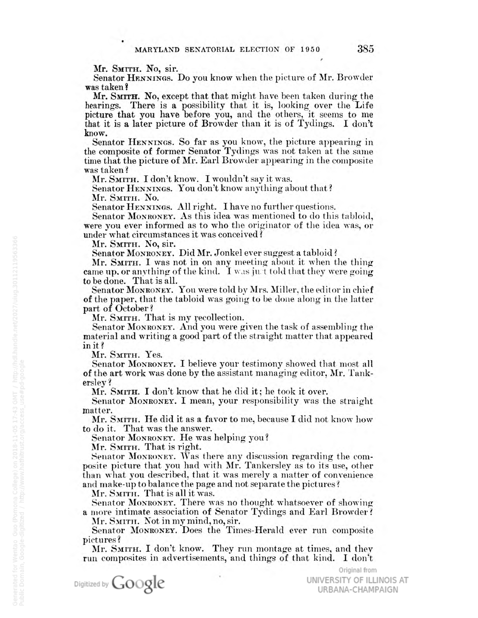Mr. SMITH. No, sir.

Senator HENNINGs. Do you know when the picture of Mr. Browder was taken?

Mr. SMITH. No, except that that might have been taken during the hearings. There is <sup>a</sup> possibility that it is, looking over the Life was taken?<br>Mr. SMITH. No, except that that might have been<br>hearings. There is a possibility that it is, lookin<br>picture that you have before you, and the others,<br>that it is a later picture of Browder than it is of T it seems to me . OW. it is alater picture of Browder than it is of Tydings. <sup>I</sup> don't

Senator HENNINGs. So far as you know, the picture appearing in the composite of former Senator Tydings was not taken at the same  $\tt{time that the picture of Mr. Earl Browder appearing in the composite}$ was taken?

Mr. SMITH, I don't know. I wouldn't say it was.

Senator HENNINGs. You don't know anything about that? Mr. SMITH. No.

Senator HENNINGs. All right. <sup>I</sup> have no further questions.

Senator Monroney. As this idea was mentioned to do this tabloid were you ever informed as to who the originator of the idea was, or under what circumstances it was conceived?

Mr. SMITH. No, sir.

Senator MONRONEY. Did Mr. Jonkel ever suggest a tabloid?

Mr. SMITH, <sup>I</sup> was not in on any meeting about it when the thing came up, or anything of the kind. I was just told that they were going to be done. That is all.

Senator Monroney. You were told by Mrs. Miller, the editor in chief of the paper, that the tabloid was going to be done along inthe latter part of October

Mr. SMITH. That is my recollection

Senator Monroner. And you were given the task of assembling the material and writing <sup>a</sup> good part of the straight matter that appeared in it?

Mr. SMITH. Yes.

Senator Monroney. I believe your testimony showed that most all of the art work was done by the assistant managing editor, Mr. Tank erslev <sup>Ž</sup>

Mr. SMITH. I don't know that he did it; he took it over

Senator Monroney. 1 mean, your responsibility was the straight matter.

Mr. SMITH. He did it as <sup>a</sup>favor to me, because <sup>I</sup> did not know how to do it. That was the answer.

Senator MONRONEY. He was helping you?

Mr. SMITH. That isright.

Senator Monroney. Was there any discussion regarding the composite picture that you had with Mr. Tankersley as to its use, other than what you described, that it was merely <sup>a</sup> matter of convenience and make-up to balance the page and not separate the pictures?

Mr. Sмгтн. That is all it was

Senator Moxroney. There was no thought whatsoever of showing **a** more intimate association of Senator Tydings and Earl Browde

Mr. SMITH. Not in my mind, no, sir.

Senator MONRONEY. Does the Times-Herald ever run composite pictures?

Mr. SMITH, <sup>I</sup> don't know. They run montage at times, and they run composites inadvertisements, and things of that kind. <sup>I</sup> don't